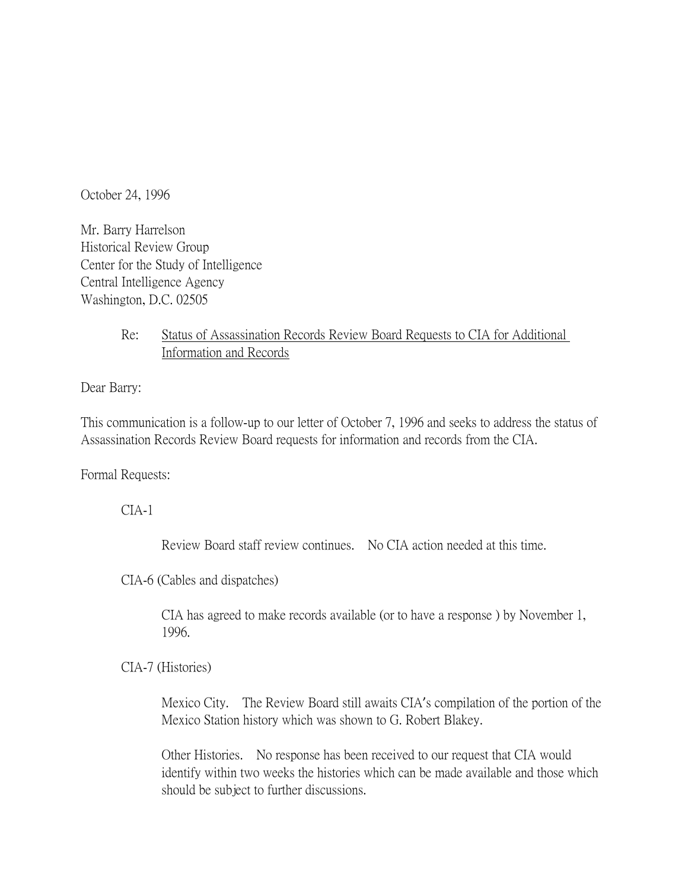October 24, 1996

Mr. Barry Harrelson Historical Review Group Center for the Study of Intelligence Central Intelligence Agency Washington, D.C. 02505

> Re: Status of Assassination Records Review Board Requests to CIA for Additional Information and Records

Dear Barry:

This communication is a follow-up to our letter of October 7, 1996 and seeks to address the status of Assassination Records Review Board requests for information and records from the CIA.

Formal Requests:

 $CIA-1$ 

Review Board staff review continues. No CIA action needed at this time.

CIA-6 (Cables and dispatches)

CIA has agreed to make records available (or to have a response ) by November 1, 1996.

CIA-7 (Histories)

Mexico City. The Review Board still awaits CIA's compilation of the portion of the Mexico Station history which was shown to G. Robert Blakey.

Other Histories. No response has been received to our request that CIA would identify within two weeks the histories which can be made available and those which should be subject to further discussions.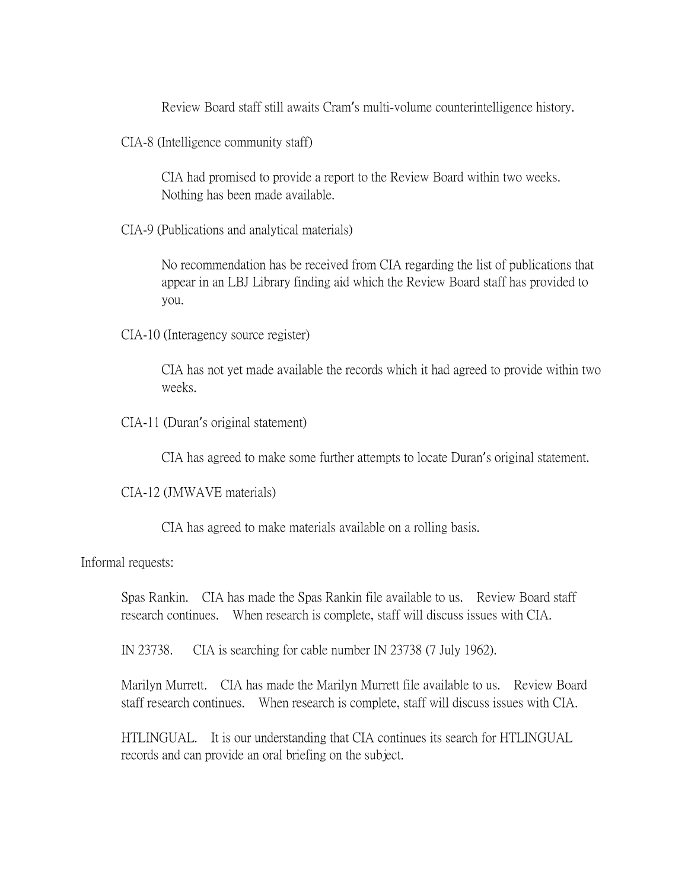Review Board staff still awaits Cram's multi-volume counterintelligence history.

CIA-8 (Intelligence community staff)

CIA had promised to provide a report to the Review Board within two weeks. Nothing has been made available.

CIA-9 (Publications and analytical materials)

No recommendation has be received from CIA regarding the list of publications that appear in an LBJ Library finding aid which the Review Board staff has provided to you.

CIA-10 (Interagency source register)

CIA has not yet made available the records which it had agreed to provide within two weeks.

CIA-11 (Duran's original statement)

CIA has agreed to make some further attempts to locate Duran's original statement.

CIA-12 (JMWAVE materials)

CIA has agreed to make materials available on a rolling basis.

Informal requests:

Spas Rankin. CIA has made the Spas Rankin file available to us. Review Board staff research continues. When research is complete, staff will discuss issues with CIA.

IN 23738. CIA is searching for cable number IN 23738 (7 July 1962).

Marilyn Murrett. CIA has made the Marilyn Murrett file available to us. Review Board staff research continues. When research is complete, staff will discuss issues with CIA.

HTLINGUAL. It is our understanding that CIA continues its search for HTLINGUAL records and can provide an oral briefing on the subject.